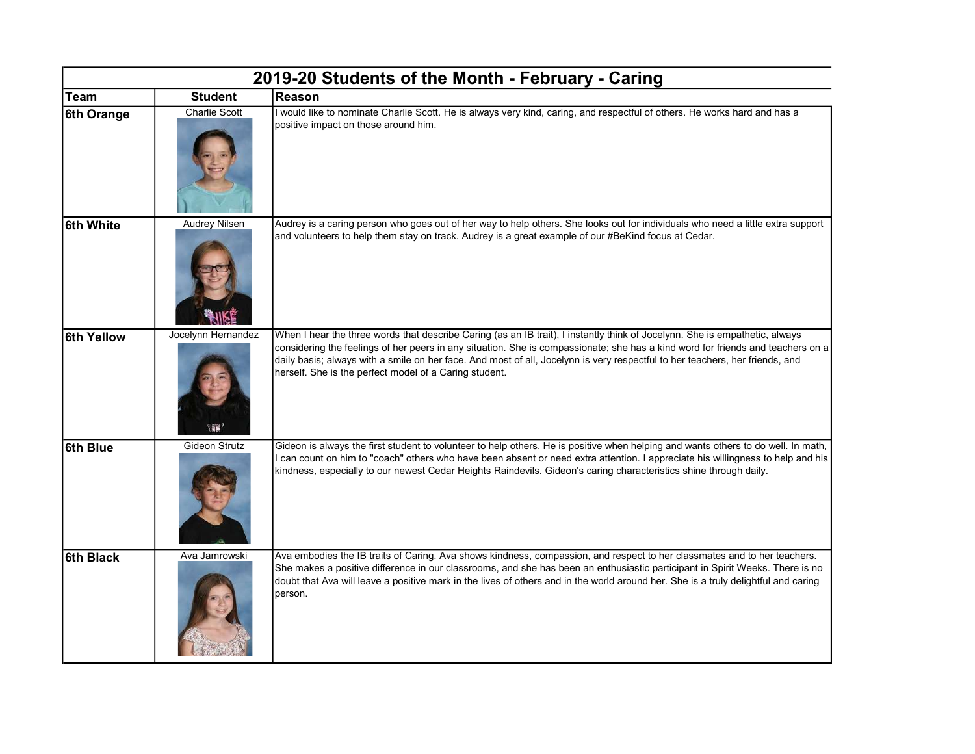| 2019-20 Students of the Month - February - Caring |                      |                                                                                                                                                                                                                                                                                                                                                                                                                                                          |  |  |
|---------------------------------------------------|----------------------|----------------------------------------------------------------------------------------------------------------------------------------------------------------------------------------------------------------------------------------------------------------------------------------------------------------------------------------------------------------------------------------------------------------------------------------------------------|--|--|
| <b>Team</b>                                       | <b>Student</b>       | Reason                                                                                                                                                                                                                                                                                                                                                                                                                                                   |  |  |
| 6th Orange                                        | Charlie Scott        | I would like to nominate Charlie Scott. He is always very kind, caring, and respectful of others. He works hard and has a<br>positive impact on those around him.                                                                                                                                                                                                                                                                                        |  |  |
| 6th White                                         | <b>Audrey Nilsen</b> | Audrey is a caring person who goes out of her way to help others. She looks out for individuals who need a little extra support<br>and volunteers to help them stay on track. Audrey is a great example of our #BeKind focus at Cedar.                                                                                                                                                                                                                   |  |  |
| 6th Yellow                                        | Jocelynn Hernandez   | When I hear the three words that describe Caring (as an IB trait), I instantly think of Jocelynn. She is empathetic, always<br>considering the feelings of her peers in any situation. She is compassionate; she has a kind word for friends and teachers on a<br>daily basis; always with a smile on her face. And most of all, Jocelynn is very respectful to her teachers, her friends, and<br>herself. She is the perfect model of a Caring student. |  |  |
| 6th Blue                                          | Gideon Strutz        | Gideon is always the first student to volunteer to help others. He is positive when helping and wants others to do well. In math,<br>I can count on him to "coach" others who have been absent or need extra attention. I appreciate his willingness to help and his<br>kindness, especially to our newest Cedar Heights Raindevils. Gideon's caring characteristics shine through daily.                                                                |  |  |
| 6th Black                                         | Ava Jamrowski        | Ava embodies the IB traits of Caring. Ava shows kindness, compassion, and respect to her classmates and to her teachers.<br>She makes a positive difference in our classrooms, and she has been an enthusiastic participant in Spirit Weeks. There is no<br>doubt that Ava will leave a positive mark in the lives of others and in the world around her. She is a truly delightful and caring<br>person.                                                |  |  |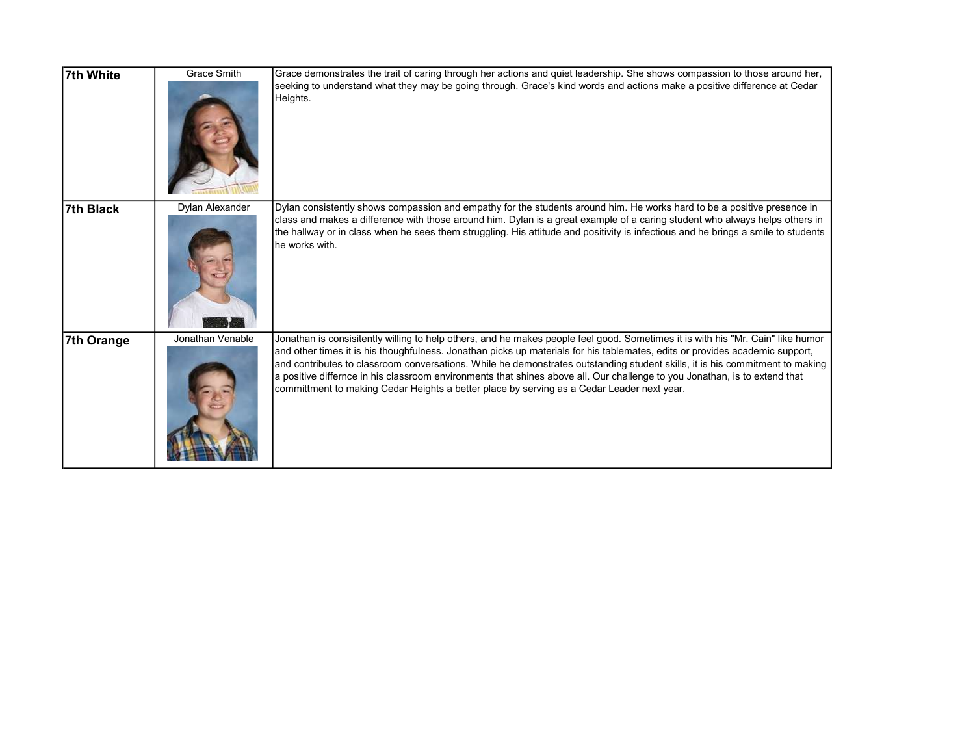| 7th White        | <b>Grace Smith</b> | Grace demonstrates the trait of caring through her actions and quiet leadership. She shows compassion to those around her,                                                                                                                                                                                                                                                                                                                                                                                                                                                                                                  |
|------------------|--------------------|-----------------------------------------------------------------------------------------------------------------------------------------------------------------------------------------------------------------------------------------------------------------------------------------------------------------------------------------------------------------------------------------------------------------------------------------------------------------------------------------------------------------------------------------------------------------------------------------------------------------------------|
|                  |                    | seeking to understand what they may be going through. Grace's kind words and actions make a positive difference at Cedar<br>Heights.                                                                                                                                                                                                                                                                                                                                                                                                                                                                                        |
| <b>7th Black</b> | Dylan Alexander    | Dylan consistently shows compassion and empathy for the students around him. He works hard to be a positive presence in<br>class and makes a difference with those around him. Dylan is a great example of a caring student who always helps others in                                                                                                                                                                                                                                                                                                                                                                      |
|                  |                    | the hallway or in class when he sees them struggling. His attitude and positivity is infectious and he brings a smile to students<br>he works with.                                                                                                                                                                                                                                                                                                                                                                                                                                                                         |
| 7th Orange       | Jonathan Venable   | Jonathan is consisitently willing to help others, and he makes people feel good. Sometimes it is with his "Mr. Cain" like humor<br>and other times it is his thoughfulness. Jonathan picks up materials for his tablemates, edits or provides academic support,<br>and contributes to classroom conversations. While he demonstrates outstanding student skills, it is his commitment to making<br>a positive differnce in his classroom environments that shines above all. Our challenge to you Jonathan, is to extend that<br>committment to making Cedar Heights a better place by serving as a Cedar Leader next year. |